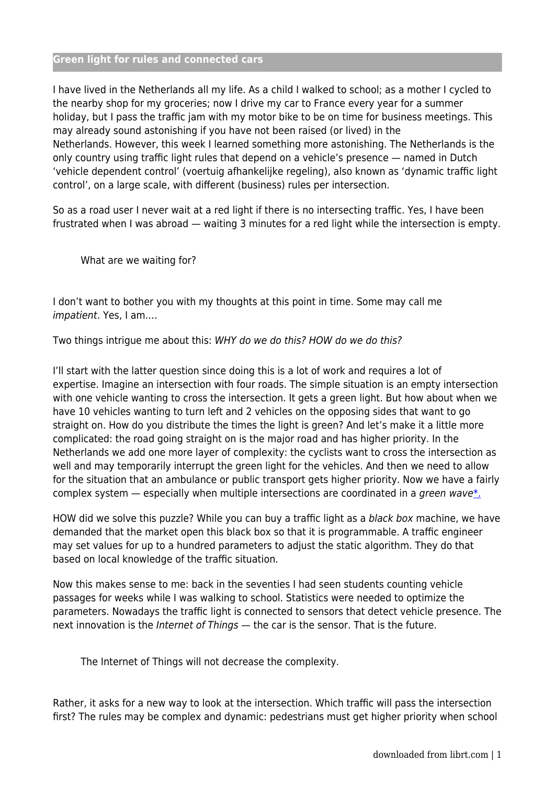## **Green light for rules and connected cars**

I have lived in the Netherlands all my life. As a child I walked to school; as a mother I cycled to the nearby shop for my groceries; now I drive my car to France every year for a summer holiday, but I pass the traffic jam with my motor bike to be on time for business meetings. This may already sound astonishing if you have not been raised (or lived) in the Netherlands. However, this week I learned something more astonishing. The Netherlands is the only country using traffic light rules that depend on a vehicle's presence — named in Dutch 'vehicle dependent control' (voertuig afhankelijke regeling), also known as 'dynamic traffic light control', on a large scale, with different (business) rules per intersection.

So as a road user I never wait at a red light if there is no intersecting traffic. Yes, I have been frustrated when I was abroad — waiting 3 minutes for a red light while the intersection is empty.

What are we waiting for?

I don't want to bother you with my thoughts at this point in time. Some may call me impatient. Yes, I am.…

Two things intrigue me about this: WHY do we do this? HOW do we do this?

I'll start with the latter question since doing this is a lot of work and requires a lot of expertise. Imagine an intersection with four roads. The simple situation is an empty intersection with one vehicle wanting to cross the intersection. It gets a green light. But how about when we have 10 vehicles wanting to turn left and 2 vehicles on the opposing sides that want to go straight on. How do you distribute the times the light is green? And let's make it a little more complicated: the road going straight on is the major road and has higher priority. In the Netherlands we add one more layer of complexity: the cyclists want to cross the intersection as well and may temporarily interrupt the green light for the vehicles. And then we need to allow for the situation that an ambulance or public transport gets higher priority. Now we have a fairly complex system  $-$  especially when multiple intersections are coordinated in a green wave.

HOW did we solve this puzzle? While you can buy a traffic light as a black box machine, we have demanded that the market open this black box so that it is programmable. A traffic engineer may set values for up to a hundred parameters to adjust the static algorithm. They do that based on local knowledge of the traffic situation.

Now this makes sense to me: back in the seventies I had seen students counting vehicle passages for weeks while I was walking to school. Statistics were needed to optimize the parameters. Nowadays the traffic light is connected to sensors that detect vehicle presence. The next innovation is the Internet of Things — the car is the sensor. That is the future.

The Internet of Things will not decrease the complexity.

Rather, it asks for a new way to look at the intersection. Which traffic will pass the intersection first? The rules may be complex and dynamic: pedestrians must get higher priority when school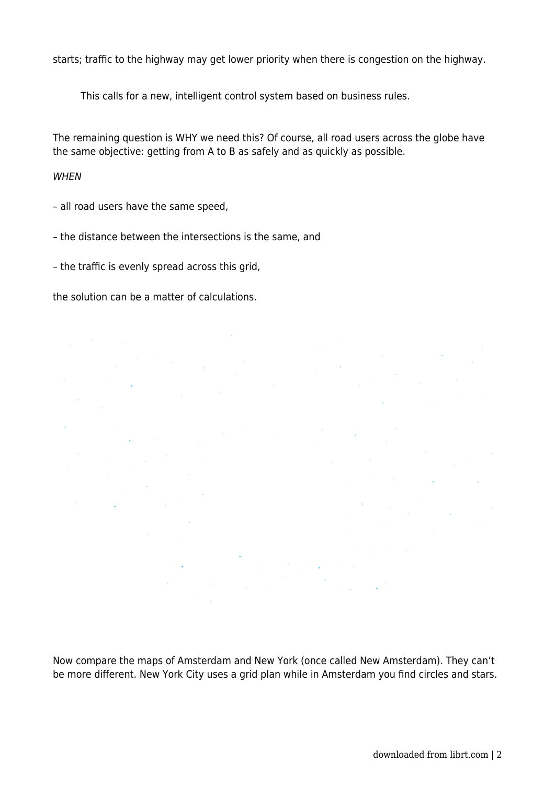starts; traffic to the highway may get lower priority when there is congestion on the highway.

This calls for a new, intelligent control system based on business rules.

The remaining question is WHY we need this? Of course, all road users across the globe have the same objective: getting from A to B as safely and as quickly as possible.

## **WHEN**

– all road users have the same speed,

– the distance between the intersections is the same, and

 $\mathbb{R}^2$ 

 $\mathcal{A}^{\mathcal{A}}$ 

 $\bar{A}$ 

– the traffic is evenly spread across this grid,

the solution can be a matter of calculations.

Now compare the maps of Amsterdam and New York (once called New Amsterdam). They can't be more different. New York City uses a grid plan while in Amsterdam you find circles and stars.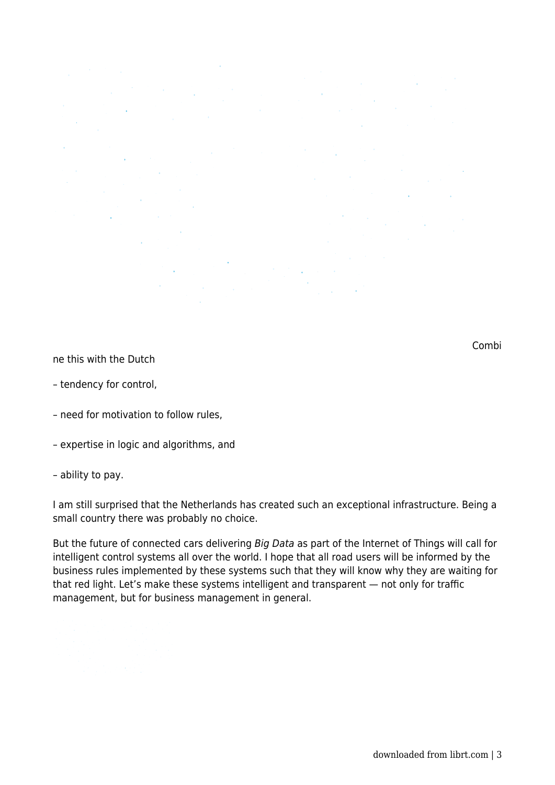Combi

ne this with the Dutch

- tendency for control,
- need for motivation to follow rules,
- expertise in logic and algorithms, and

## – ability to pay.

I am still surprised that the Netherlands has created such an exceptional infrastructure. Being a small country there was probably no choice.

But the future of connected cars delivering Big Data as part of the Internet of Things will call for intelligent control systems all over the world. I hope that all road users will be informed by the business rules implemented by these systems such that they will know why they are waiting for that red light. Let's make these systems intelligent and transparent — not only for traffic management, but for business management in general.